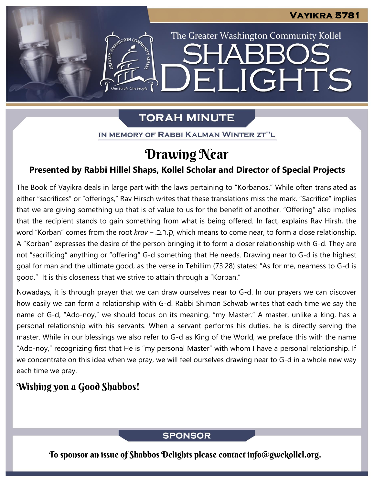The Greater Washington Community Kollel

LIGHTS

# **TORAH MINUTE**

FI

IN MEMORY OF RABBI KALMAN WINTER ZT"L

# Drawing Near

## **Presented by Rabbi Hillel Shaps, Kollel Scholar and Director of Special Projects**

The Book of Vayikra deals in large part with the laws pertaining to "Korbanos." While often translated as either "sacrifices" or "offerings," Rav Hirsch writes that these translations miss the mark. "Sacrifice" implies that we are giving something up that is of value to us for the benefit of another. "Offering" also implies that the recipient stands to gain something from what is being offered. In fact, explains Rav Hirsh, the word "Korban" comes from the root *krav* – .כ.ה.ק, which means to come near, to form a close relationship. A "Korban" expresses the desire of the person bringing it to form a closer relationship with G-d. They are not "sacrificing" anything or "offering" G-d something that He needs. Drawing near to G-d is the highest goal for man and the ultimate good, as the verse in Tehillim (73:28) states: "As for me, nearness to G-d is good." It is this closeness that we strive to attain through a "Korban."

Nowadays, it is through prayer that we can draw ourselves near to G-d. In our prayers we can discover how easily we can form a relationship with G-d. Rabbi Shimon Schwab writes that each time we say the name of G-d, "Ado-noy," we should focus on its meaning, "my Master." A master, unlike a king, has a personal relationship with his servants. When a servant performs his duties, he is directly serving the master. While in our blessings we also refer to G-d as King of the World, we preface this with the name "Ado-noy," recognizing first that He is "my personal Master" with whom I have a personal relationship. If we concentrate on this idea when we pray, we will feel ourselves drawing near to G-d in a whole new way each time we pray.

## Wishing you a Good Shabbos!

### **SPONSOR**

To sponsor an issue of Shabbos Delights please contact info@gwckollel.org.